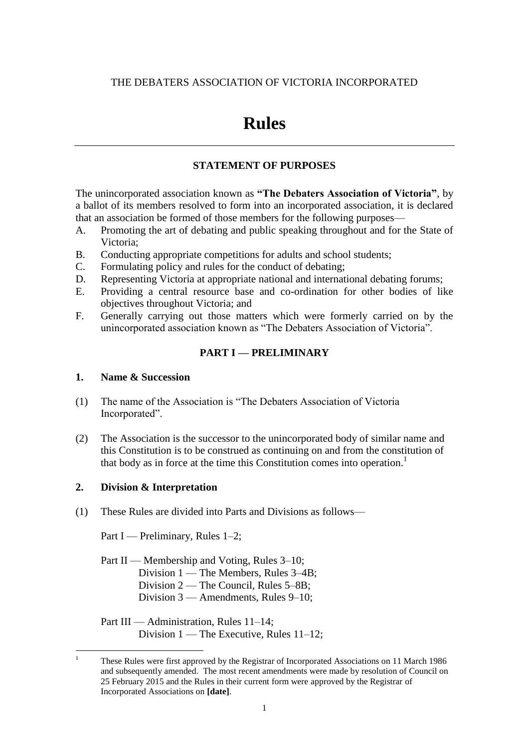## THE DEBATERS ASSOCIATION OF VICTORIA INCORPORATED

# **Rules**

# **STATEMENT OF PURPOSES**

The unincorporated association known as **"The Debaters Association of Victoria"**, by a ballot of its members resolved to form into an incorporated association, it is declared that an association be formed of those members for the following purposes—

- A. Promoting the art of debating and public speaking throughout and for the State of Victoria;
- B. Conducting appropriate competitions for adults and school students;
- C. Formulating policy and rules for the conduct of debating;
- D. Representing Victoria at appropriate national and international debating forums;
- E. Providing a central resource base and co-ordination for other bodies of like objectives throughout Victoria; and
- F. Generally carrying out those matters which were formerly carried on by the unincorporated association known as "The Debaters Association of Victoria".

# **PART I — PRELIMINARY**

#### **1. Name & Succession**

- (1) The name of the Association is "The Debaters Association of Victoria Incorporated".
- (2) The Association is the successor to the unincorporated body of similar name and this Constitution is to be construed as continuing on and from the constitution of that body as in force at the time this Constitution comes into operation.<sup>1</sup>

## **2. Division & Interpretation**

(1) These Rules are divided into Parts and Divisions as follows—

Part I — Preliminary, Rules 1–2;

Part II — Membership and Voting, Rules 3–10; Division 1 — The Members, Rules 3–4B; Division 2 — The Council, Rules 5–8B; Division 3 — Amendments, Rules 9–10;

Part III — Administration, Rules 11–14; Division 1 — The Executive, Rules 11–12;

 $\mathbf{1}$ <sup>1</sup> These Rules were first approved by the Registrar of Incorporated Associations on 11 March 1986 and subsequently amended. The most recent amendments were made by resolution of Council on 25 February 2015 and the Rules in their current form were approved by the Registrar of Incorporated Associations on **[date]**.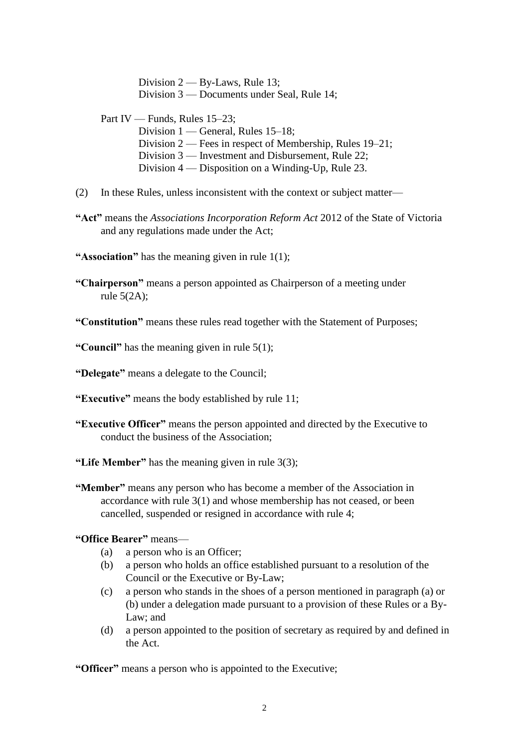Division 2 — By-Laws, Rule 13; Division 3 — Documents under Seal, Rule 14;

Part IV — Funds, Rules 15–23;

Division 1 — General, Rules 15–18; Division 2 — Fees in respect of Membership, Rules 19–21; Division 3 — Investment and Disbursement, Rule 22; Division 4 — Disposition on a Winding-Up, Rule 23.

- (2) In these Rules, unless inconsistent with the context or subject matter—
- **"Act"** means the *Associations Incorporation Reform Act* 2012 of the State of Victoria and any regulations made under the Act;
- **"Association"** has the meaning given in rule 1(1);
- **"Chairperson"** means a person appointed as Chairperson of a meeting under rule 5(2A);
- **"Constitution"** means these rules read together with the Statement of Purposes;

**"Council"** has the meaning given in rule 5(1);

**"Delegate"** means a delegate to the Council;

- **"Executive"** means the body established by rule 11;
- **"Executive Officer"** means the person appointed and directed by the Executive to conduct the business of the Association;
- **"Life Member"** has the meaning given in rule 3(3);
- **"Member"** means any person who has become a member of the Association in accordance with rule 3(1) and whose membership has not ceased, or been cancelled, suspended or resigned in accordance with rule 4;
- **"Office Bearer"** means—
	- (a) a person who is an Officer;
	- (b) a person who holds an office established pursuant to a resolution of the Council or the Executive or By-Law;
	- (c) a person who stands in the shoes of a person mentioned in paragraph (a) or (b) under a delegation made pursuant to a provision of these Rules or a By-Law; and
	- (d) a person appointed to the position of secretary as required by and defined in the Act.

**"Officer"** means a person who is appointed to the Executive;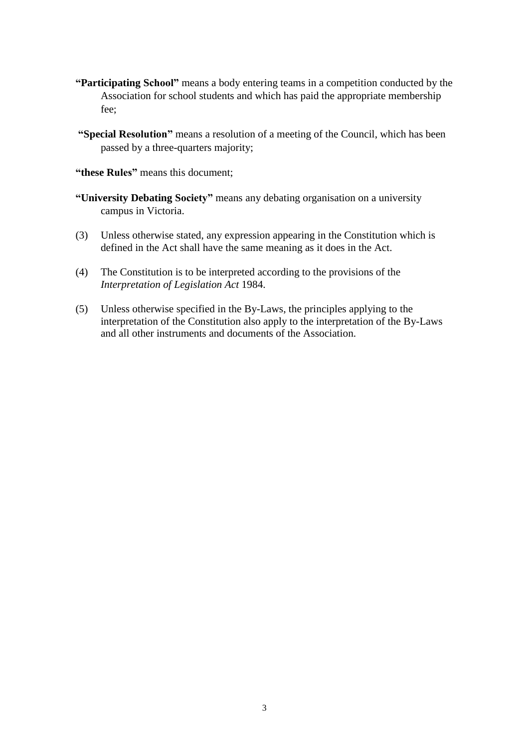- **"Participating School"** means a body entering teams in a competition conducted by the Association for school students and which has paid the appropriate membership fee;
- **"Special Resolution"** means a resolution of a meeting of the Council, which has been passed by a three-quarters majority;
- **"these Rules"** means this document;
- **"University Debating Society"** means any debating organisation on a university campus in Victoria.
- (3) Unless otherwise stated, any expression appearing in the Constitution which is defined in the Act shall have the same meaning as it does in the Act.
- (4) The Constitution is to be interpreted according to the provisions of the *Interpretation of Legislation Act* 1984.
- (5) Unless otherwise specified in the By-Laws, the principles applying to the interpretation of the Constitution also apply to the interpretation of the By-Laws and all other instruments and documents of the Association.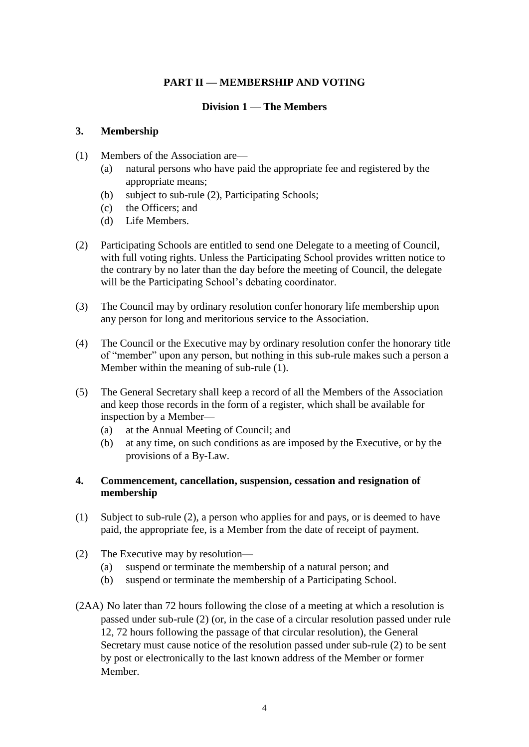## **PART II — MEMBERSHIP AND VOTING**

## **Division 1** — **The Members**

#### **3. Membership**

- (1) Members of the Association are—
	- (a) natural persons who have paid the appropriate fee and registered by the appropriate means;
	- (b) subject to sub-rule (2), Participating Schools;
	- (c) the Officers; and
	- (d) Life Members.
- (2) Participating Schools are entitled to send one Delegate to a meeting of Council, with full voting rights. Unless the Participating School provides written notice to the contrary by no later than the day before the meeting of Council, the delegate will be the Participating School's debating coordinator.
- (3) The Council may by ordinary resolution confer honorary life membership upon any person for long and meritorious service to the Association.
- (4) The Council or the Executive may by ordinary resolution confer the honorary title of "member" upon any person, but nothing in this sub-rule makes such a person a Member within the meaning of sub-rule (1).
- (5) The General Secretary shall keep a record of all the Members of the Association and keep those records in the form of a register, which shall be available for inspection by a Member—
	- (a) at the Annual Meeting of Council; and
	- (b) at any time, on such conditions as are imposed by the Executive, or by the provisions of a By-Law.

## **4. Commencement, cancellation, suspension, cessation and resignation of membership**

- (1) Subject to sub-rule (2), a person who applies for and pays, or is deemed to have paid, the appropriate fee, is a Member from the date of receipt of payment.
- (2) The Executive may by resolution—
	- (a) suspend or terminate the membership of a natural person; and
	- (b) suspend or terminate the membership of a Participating School.
- (2AA) No later than 72 hours following the close of a meeting at which a resolution is passed under sub-rule (2) (or, in the case of a circular resolution passed under rule 12, 72 hours following the passage of that circular resolution), the General Secretary must cause notice of the resolution passed under sub-rule (2) to be sent by post or electronically to the last known address of the Member or former Member.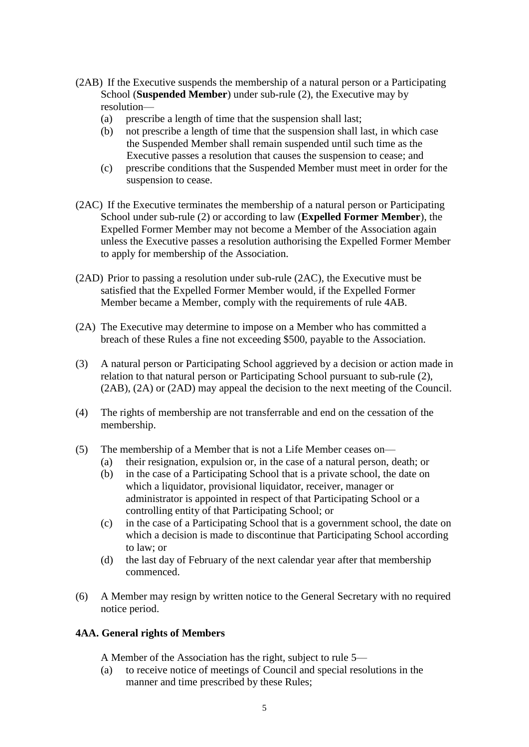- (2AB) If the Executive suspends the membership of a natural person or a Participating School (**Suspended Member**) under sub-rule (2), the Executive may by resolution—
	- (a) prescribe a length of time that the suspension shall last;
	- (b) not prescribe a length of time that the suspension shall last, in which case the Suspended Member shall remain suspended until such time as the Executive passes a resolution that causes the suspension to cease; and
	- (c) prescribe conditions that the Suspended Member must meet in order for the suspension to cease.
- (2AC) If the Executive terminates the membership of a natural person or Participating School under sub-rule (2) or according to law (**Expelled Former Member**), the Expelled Former Member may not become a Member of the Association again unless the Executive passes a resolution authorising the Expelled Former Member to apply for membership of the Association.
- (2AD) Prior to passing a resolution under sub-rule (2AC), the Executive must be satisfied that the Expelled Former Member would, if the Expelled Former Member became a Member, comply with the requirements of rule 4AB.
- (2A) The Executive may determine to impose on a Member who has committed a breach of these Rules a fine not exceeding \$500, payable to the Association.
- (3) A natural person or Participating School aggrieved by a decision or action made in relation to that natural person or Participating School pursuant to sub-rule (2), (2AB), (2A) or (2AD) may appeal the decision to the next meeting of the Council.
- (4) The rights of membership are not transferrable and end on the cessation of the membership.
- (5) The membership of a Member that is not a Life Member ceases on—
	- (a) their resignation, expulsion or, in the case of a natural person, death; or
	- (b) in the case of a Participating School that is a private school, the date on which a liquidator, provisional liquidator, receiver, manager or administrator is appointed in respect of that Participating School or a controlling entity of that Participating School; or
	- (c) in the case of a Participating School that is a government school, the date on which a decision is made to discontinue that Participating School according to law; or
	- (d) the last day of February of the next calendar year after that membership commenced.
- (6) A Member may resign by written notice to the General Secretary with no required notice period.

## **4AA. General rights of Members**

A Member of the Association has the right, subject to rule 5—

(a) to receive notice of meetings of Council and special resolutions in the manner and time prescribed by these Rules;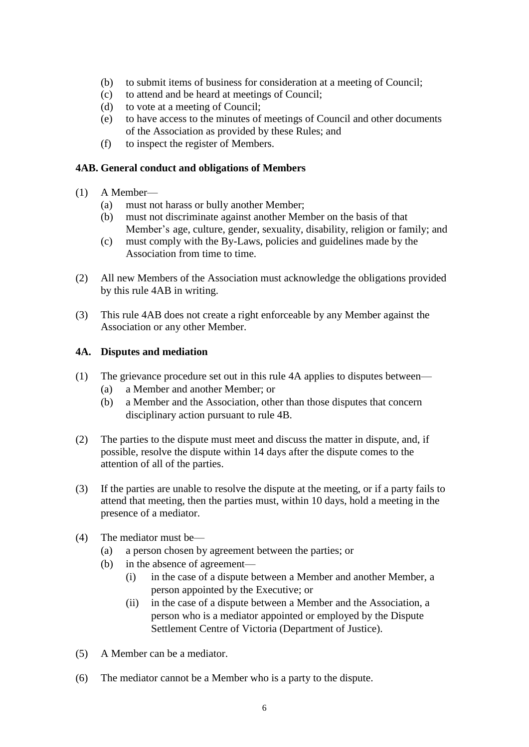- (b) to submit items of business for consideration at a meeting of Council;
- (c) to attend and be heard at meetings of Council;
- (d) to vote at a meeting of Council;
- (e) to have access to the minutes of meetings of Council and other documents of the Association as provided by these Rules; and
- (f) to inspect the register of Members.

#### **4AB. General conduct and obligations of Members**

- (1) A Member—
	- (a) must not harass or bully another Member;
	- (b) must not discriminate against another Member on the basis of that Member's age, culture, gender, sexuality, disability, religion or family; and
	- (c) must comply with the By-Laws, policies and guidelines made by the Association from time to time.
- (2) All new Members of the Association must acknowledge the obligations provided by this rule 4AB in writing.
- (3) This rule 4AB does not create a right enforceable by any Member against the Association or any other Member.

#### **4A. Disputes and mediation**

- (1) The grievance procedure set out in this rule 4A applies to disputes between—
	- (a) a Member and another Member; or
	- (b) a Member and the Association, other than those disputes that concern disciplinary action pursuant to rule 4B.
- (2) The parties to the dispute must meet and discuss the matter in dispute, and, if possible, resolve the dispute within 14 days after the dispute comes to the attention of all of the parties.
- (3) If the parties are unable to resolve the dispute at the meeting, or if a party fails to attend that meeting, then the parties must, within 10 days, hold a meeting in the presence of a mediator.
- (4) The mediator must be—
	- (a) a person chosen by agreement between the parties; or
	- (b) in the absence of agreement—
		- (i) in the case of a dispute between a Member and another Member, a person appointed by the Executive; or
		- (ii) in the case of a dispute between a Member and the Association, a person who is a mediator appointed or employed by the Dispute Settlement Centre of Victoria (Department of Justice).
- (5) A Member can be a mediator.
- (6) The mediator cannot be a Member who is a party to the dispute.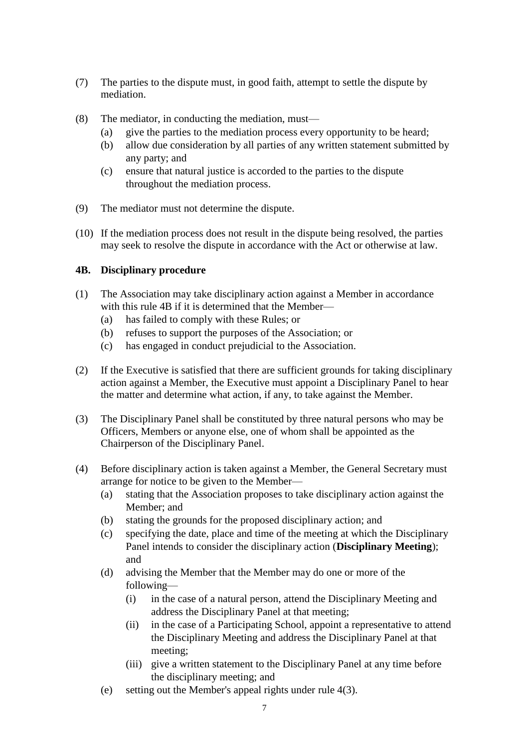- (7) The parties to the dispute must, in good faith, attempt to settle the dispute by mediation.
- (8) The mediator, in conducting the mediation, must—
	- (a) give the parties to the mediation process every opportunity to be heard;
	- (b) allow due consideration by all parties of any written statement submitted by any party; and
	- (c) ensure that natural justice is accorded to the parties to the dispute throughout the mediation process.
- (9) The mediator must not determine the dispute.
- (10) If the mediation process does not result in the dispute being resolved, the parties may seek to resolve the dispute in accordance with the Act or otherwise at law.

## **4B. Disciplinary procedure**

- (1) The Association may take disciplinary action against a Member in accordance with this rule 4B if it is determined that the Member—
	- (a) has failed to comply with these Rules; or
	- (b) refuses to support the purposes of the Association; or
	- (c) has engaged in conduct prejudicial to the Association.
- (2) If the Executive is satisfied that there are sufficient grounds for taking disciplinary action against a Member, the Executive must appoint a Disciplinary Panel to hear the matter and determine what action, if any, to take against the Member.
- (3) The Disciplinary Panel shall be constituted by three natural persons who may be Officers, Members or anyone else, one of whom shall be appointed as the Chairperson of the Disciplinary Panel.
- (4) Before disciplinary action is taken against a Member, the General Secretary must arrange for notice to be given to the Member—
	- (a) stating that the Association proposes to take disciplinary action against the Member; and
	- (b) stating the grounds for the proposed disciplinary action; and
	- (c) specifying the date, place and time of the meeting at which the Disciplinary Panel intends to consider the disciplinary action (**Disciplinary Meeting**); and
	- (d) advising the Member that the Member may do one or more of the following—
		- (i) in the case of a natural person, attend the Disciplinary Meeting and address the Disciplinary Panel at that meeting;
		- (ii) in the case of a Participating School, appoint a representative to attend the Disciplinary Meeting and address the Disciplinary Panel at that meeting;
		- (iii) give a written statement to the Disciplinary Panel at any time before the disciplinary meeting; and
	- (e) setting out the Member's appeal rights under rule 4(3).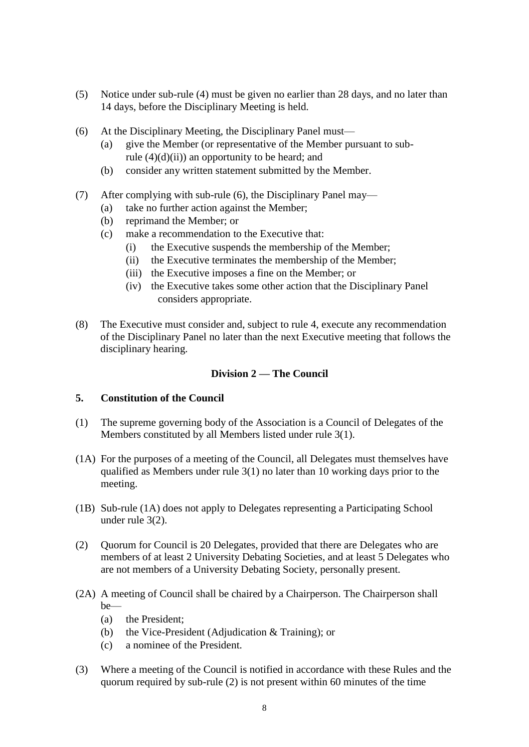- (5) Notice under sub-rule (4) must be given no earlier than 28 days, and no later than 14 days, before the Disciplinary Meeting is held.
- (6) At the Disciplinary Meeting, the Disciplinary Panel must—
	- (a) give the Member (or representative of the Member pursuant to subrule  $(4)(d)(ii)$  an opportunity to be heard; and
	- (b) consider any written statement submitted by the Member.
- (7) After complying with sub-rule (6), the Disciplinary Panel may—
	- (a) take no further action against the Member;
	- (b) reprimand the Member; or
	- (c) make a recommendation to the Executive that:
		- (i) the Executive suspends the membership of the Member;
		- (ii) the Executive terminates the membership of the Member;
		- (iii) the Executive imposes a fine on the Member; or
		- (iv) the Executive takes some other action that the Disciplinary Panel considers appropriate.
- (8) The Executive must consider and, subject to rule 4, execute any recommendation of the Disciplinary Panel no later than the next Executive meeting that follows the disciplinary hearing.

## **Division 2 — The Council**

#### **5. Constitution of the Council**

- (1) The supreme governing body of the Association is a Council of Delegates of the Members constituted by all Members listed under rule 3(1).
- (1A) For the purposes of a meeting of the Council, all Delegates must themselves have qualified as Members under rule 3(1) no later than 10 working days prior to the meeting.
- (1B) Sub-rule (1A) does not apply to Delegates representing a Participating School under rule 3(2).
- (2) Quorum for Council is 20 Delegates, provided that there are Delegates who are members of at least 2 University Debating Societies, and at least 5 Delegates who are not members of a University Debating Society, personally present.
- (2A) A meeting of Council shall be chaired by a Chairperson. The Chairperson shall be—
	- (a) the President;
	- (b) the Vice-President (Adjudication & Training); or
	- (c) a nominee of the President.
- (3) Where a meeting of the Council is notified in accordance with these Rules and the quorum required by sub-rule (2) is not present within 60 minutes of the time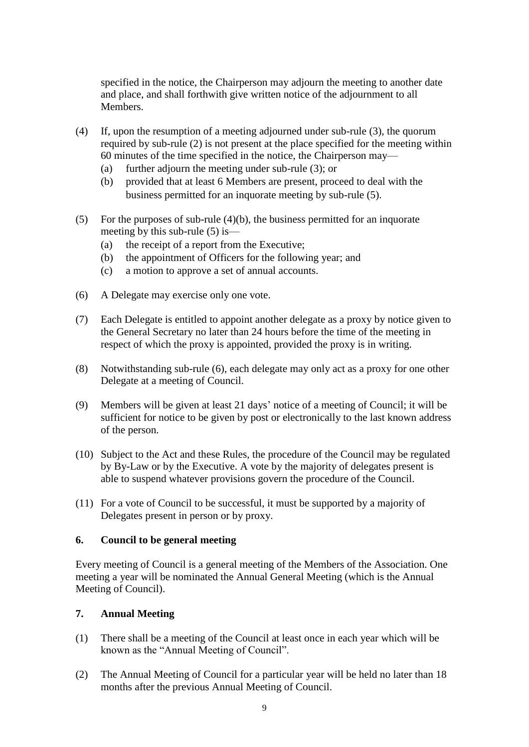specified in the notice, the Chairperson may adjourn the meeting to another date and place, and shall forthwith give written notice of the adjournment to all Members.

- (4) If, upon the resumption of a meeting adjourned under sub-rule (3), the quorum required by sub-rule (2) is not present at the place specified for the meeting within 60 minutes of the time specified in the notice, the Chairperson may—
	- (a) further adjourn the meeting under sub-rule (3); or
	- (b) provided that at least 6 Members are present, proceed to deal with the business permitted for an inquorate meeting by sub-rule (5).
- (5) For the purposes of sub-rule (4)(b), the business permitted for an inquorate meeting by this sub-rule (5) is—
	- (a) the receipt of a report from the Executive;
	- (b) the appointment of Officers for the following year; and
	- (c) a motion to approve a set of annual accounts.
- (6) A Delegate may exercise only one vote.
- (7) Each Delegate is entitled to appoint another delegate as a proxy by notice given to the General Secretary no later than 24 hours before the time of the meeting in respect of which the proxy is appointed, provided the proxy is in writing.
- (8) Notwithstanding sub-rule (6), each delegate may only act as a proxy for one other Delegate at a meeting of Council.
- (9) Members will be given at least 21 days' notice of a meeting of Council; it will be sufficient for notice to be given by post or electronically to the last known address of the person.
- (10) Subject to the Act and these Rules, the procedure of the Council may be regulated by By-Law or by the Executive. A vote by the majority of delegates present is able to suspend whatever provisions govern the procedure of the Council.
- (11) For a vote of Council to be successful, it must be supported by a majority of Delegates present in person or by proxy.

#### **6. Council to be general meeting**

Every meeting of Council is a general meeting of the Members of the Association. One meeting a year will be nominated the Annual General Meeting (which is the Annual Meeting of Council).

#### **7. Annual Meeting**

- (1) There shall be a meeting of the Council at least once in each year which will be known as the "Annual Meeting of Council".
- (2) The Annual Meeting of Council for a particular year will be held no later than 18 months after the previous Annual Meeting of Council.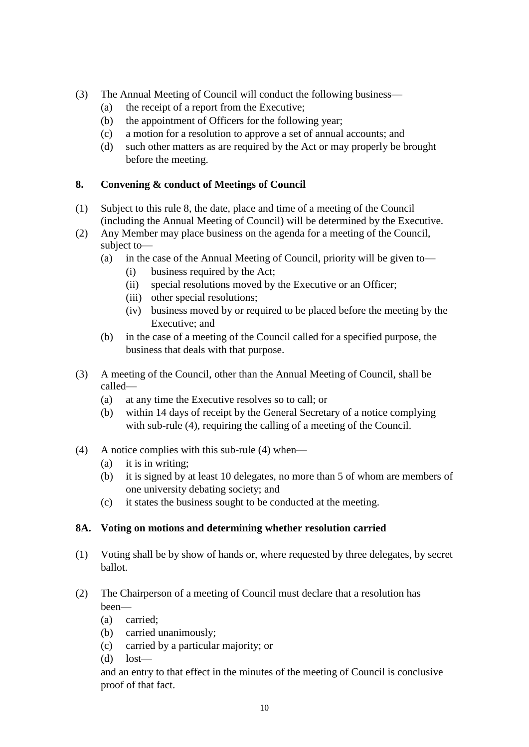- (3) The Annual Meeting of Council will conduct the following business—
	- (a) the receipt of a report from the Executive;
	- (b) the appointment of Officers for the following year;
	- (c) a motion for a resolution to approve a set of annual accounts; and
	- (d) such other matters as are required by the Act or may properly be brought before the meeting.

# **8. Convening & conduct of Meetings of Council**

- (1) Subject to this rule 8, the date, place and time of a meeting of the Council (including the Annual Meeting of Council) will be determined by the Executive.
- (2) Any Member may place business on the agenda for a meeting of the Council, subject to—
	- (a) in the case of the Annual Meeting of Council, priority will be given to—
		- (i) business required by the Act;
		- (ii) special resolutions moved by the Executive or an Officer;
		- (iii) other special resolutions;
		- (iv) business moved by or required to be placed before the meeting by the Executive; and
	- (b) in the case of a meeting of the Council called for a specified purpose, the business that deals with that purpose.
- (3) A meeting of the Council, other than the Annual Meeting of Council, shall be called—
	- (a) at any time the Executive resolves so to call; or
	- (b) within 14 days of receipt by the General Secretary of a notice complying with sub-rule (4), requiring the calling of a meeting of the Council.
- (4) A notice complies with this sub-rule (4) when—
	- (a) it is in writing;
	- (b) it is signed by at least 10 delegates, no more than 5 of whom are members of one university debating society; and
	- (c) it states the business sought to be conducted at the meeting.

## **8A. Voting on motions and determining whether resolution carried**

- (1) Voting shall be by show of hands or, where requested by three delegates, by secret ballot.
- (2) The Chairperson of a meeting of Council must declare that a resolution has been—
	- (a) carried;
	- (b) carried unanimously;
	- (c) carried by a particular majority; or
	- $(d)$  lost—

and an entry to that effect in the minutes of the meeting of Council is conclusive proof of that fact.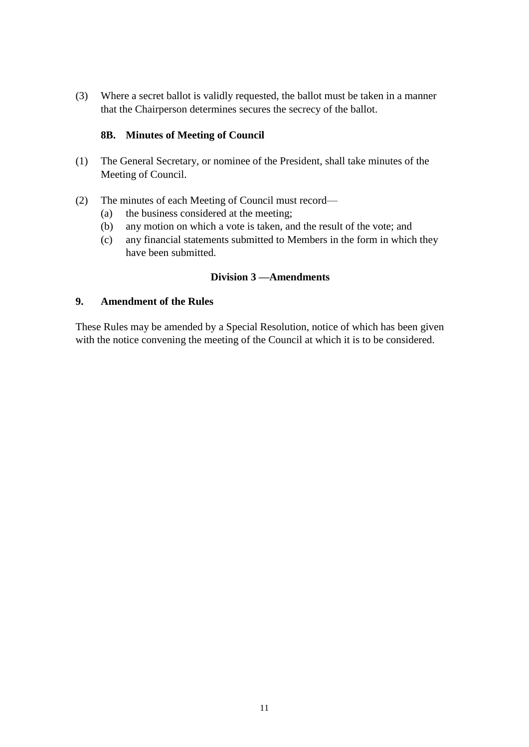(3) Where a secret ballot is validly requested, the ballot must be taken in a manner that the Chairperson determines secures the secrecy of the ballot.

## **8B. Minutes of Meeting of Council**

- (1) The General Secretary, or nominee of the President, shall take minutes of the Meeting of Council.
- (2) The minutes of each Meeting of Council must record—
	- (a) the business considered at the meeting;
	- (b) any motion on which a vote is taken, and the result of the vote; and
	- (c) any financial statements submitted to Members in the form in which they have been submitted.

#### **Division 3 —Amendments**

#### **9. Amendment of the Rules**

These Rules may be amended by a Special Resolution, notice of which has been given with the notice convening the meeting of the Council at which it is to be considered.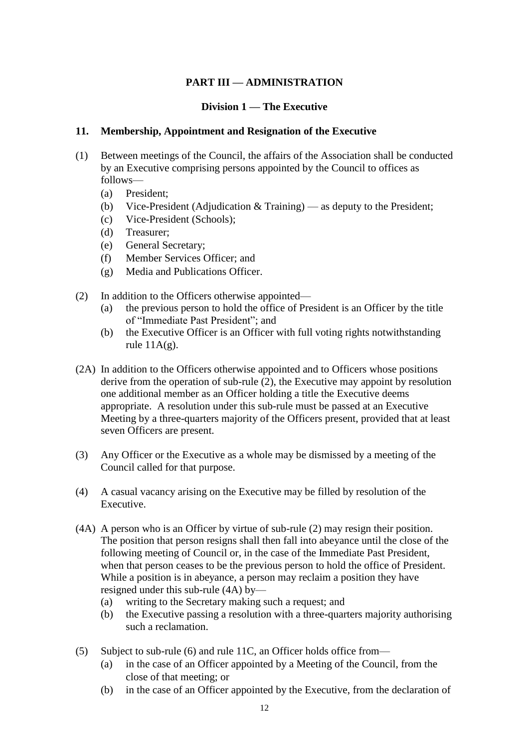## **PART III — ADMINISTRATION**

#### **Division 1 — The Executive**

#### **11. Membership, Appointment and Resignation of the Executive**

- (1) Between meetings of the Council, the affairs of the Association shall be conducted by an Executive comprising persons appointed by the Council to offices as follows—
	- (a) President;
	- (b) Vice-President (Adjudication & Training) as deputy to the President;
	- (c) Vice-President (Schools);
	- (d) Treasurer;
	- (e) General Secretary;
	- (f) Member Services Officer; and
	- (g) Media and Publications Officer.
- (2) In addition to the Officers otherwise appointed—
	- (a) the previous person to hold the office of President is an Officer by the title of "Immediate Past President"; and
	- (b) the Executive Officer is an Officer with full voting rights notwithstanding rule  $11A(g)$ .
- (2A) In addition to the Officers otherwise appointed and to Officers whose positions derive from the operation of sub-rule (2), the Executive may appoint by resolution one additional member as an Officer holding a title the Executive deems appropriate. A resolution under this sub-rule must be passed at an Executive Meeting by a three-quarters majority of the Officers present, provided that at least seven Officers are present.
- (3) Any Officer or the Executive as a whole may be dismissed by a meeting of the Council called for that purpose.
- (4) A casual vacancy arising on the Executive may be filled by resolution of the Executive.
- (4A) A person who is an Officer by virtue of sub-rule (2) may resign their position. The position that person resigns shall then fall into abeyance until the close of the following meeting of Council or, in the case of the Immediate Past President, when that person ceases to be the previous person to hold the office of President. While a position is in abeyance, a person may reclaim a position they have resigned under this sub-rule (4A) by—
	- (a) writing to the Secretary making such a request; and
	- (b) the Executive passing a resolution with a three-quarters majority authorising such a reclamation.
- (5) Subject to sub-rule (6) and rule 11C, an Officer holds office from—
	- (a) in the case of an Officer appointed by a Meeting of the Council, from the close of that meeting; or
	- (b) in the case of an Officer appointed by the Executive, from the declaration of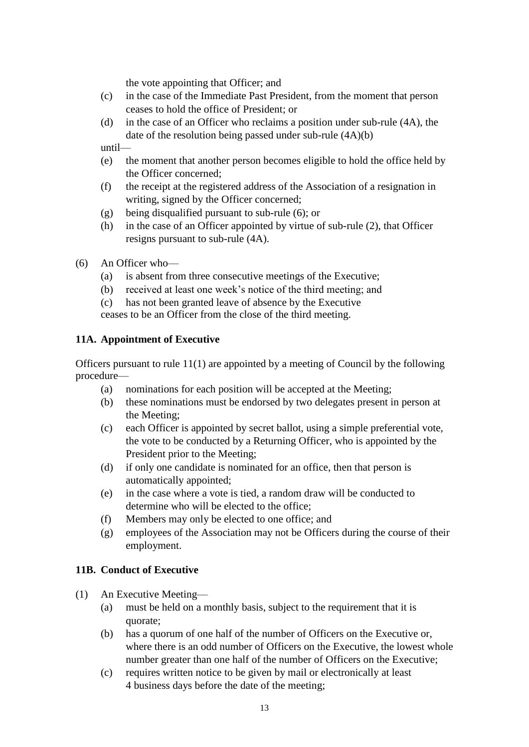the vote appointing that Officer; and

- (c) in the case of the Immediate Past President, from the moment that person ceases to hold the office of President; or
- (d) in the case of an Officer who reclaims a position under sub-rule (4A), the date of the resolution being passed under sub-rule (4A)(b)

until—

- (e) the moment that another person becomes eligible to hold the office held by the Officer concerned;
- (f) the receipt at the registered address of the Association of a resignation in writing, signed by the Officer concerned;
- (g) being disqualified pursuant to sub-rule (6); or
- (h) in the case of an Officer appointed by virtue of sub-rule (2), that Officer resigns pursuant to sub-rule (4A).
- (6) An Officer who—
	- (a) is absent from three consecutive meetings of the Executive;
	- (b) received at least one week's notice of the third meeting; and
	- (c) has not been granted leave of absence by the Executive

ceases to be an Officer from the close of the third meeting.

## **11A. Appointment of Executive**

Officers pursuant to rule 11(1) are appointed by a meeting of Council by the following procedure—

- (a) nominations for each position will be accepted at the Meeting;
- (b) these nominations must be endorsed by two delegates present in person at the Meeting;
- (c) each Officer is appointed by secret ballot, using a simple preferential vote, the vote to be conducted by a Returning Officer, who is appointed by the President prior to the Meeting;
- (d) if only one candidate is nominated for an office, then that person is automatically appointed;
- (e) in the case where a vote is tied, a random draw will be conducted to determine who will be elected to the office;
- (f) Members may only be elected to one office; and
- (g) employees of the Association may not be Officers during the course of their employment.

# **11B. Conduct of Executive**

- (1) An Executive Meeting—
	- (a) must be held on a monthly basis, subject to the requirement that it is quorate;
	- (b) has a quorum of one half of the number of Officers on the Executive or, where there is an odd number of Officers on the Executive, the lowest whole number greater than one half of the number of Officers on the Executive;
	- (c) requires written notice to be given by mail or electronically at least 4 business days before the date of the meeting;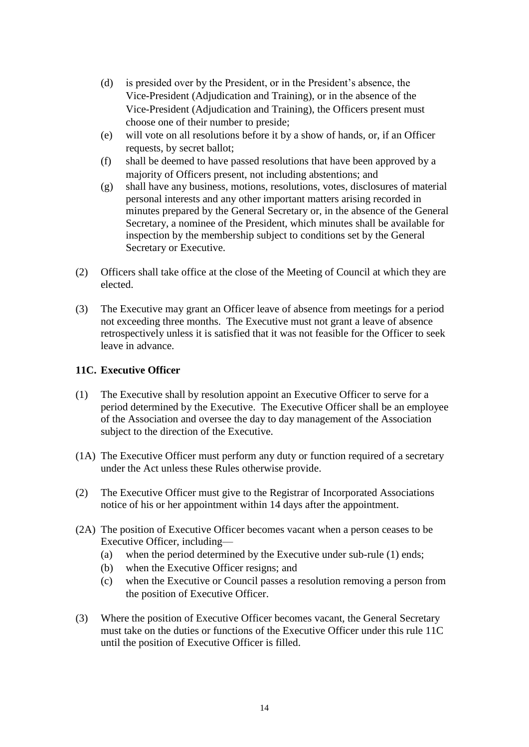- (d) is presided over by the President, or in the President's absence, the Vice-President (Adjudication and Training), or in the absence of the Vice-President (Adjudication and Training), the Officers present must choose one of their number to preside;
- (e) will vote on all resolutions before it by a show of hands, or, if an Officer requests, by secret ballot;
- (f) shall be deemed to have passed resolutions that have been approved by a majority of Officers present, not including abstentions; and
- (g) shall have any business, motions, resolutions, votes, disclosures of material personal interests and any other important matters arising recorded in minutes prepared by the General Secretary or, in the absence of the General Secretary, a nominee of the President, which minutes shall be available for inspection by the membership subject to conditions set by the General Secretary or Executive.
- (2) Officers shall take office at the close of the Meeting of Council at which they are elected.
- (3) The Executive may grant an Officer leave of absence from meetings for a period not exceeding three months. The Executive must not grant a leave of absence retrospectively unless it is satisfied that it was not feasible for the Officer to seek leave in advance.

#### **11C. Executive Officer**

- (1) The Executive shall by resolution appoint an Executive Officer to serve for a period determined by the Executive. The Executive Officer shall be an employee of the Association and oversee the day to day management of the Association subject to the direction of the Executive.
- (1A) The Executive Officer must perform any duty or function required of a secretary under the Act unless these Rules otherwise provide.
- (2) The Executive Officer must give to the Registrar of Incorporated Associations notice of his or her appointment within 14 days after the appointment.
- (2A) The position of Executive Officer becomes vacant when a person ceases to be Executive Officer, including—
	- (a) when the period determined by the Executive under sub-rule (1) ends;
	- (b) when the Executive Officer resigns; and
	- (c) when the Executive or Council passes a resolution removing a person from the position of Executive Officer.
- (3) Where the position of Executive Officer becomes vacant, the General Secretary must take on the duties or functions of the Executive Officer under this rule 11C until the position of Executive Officer is filled.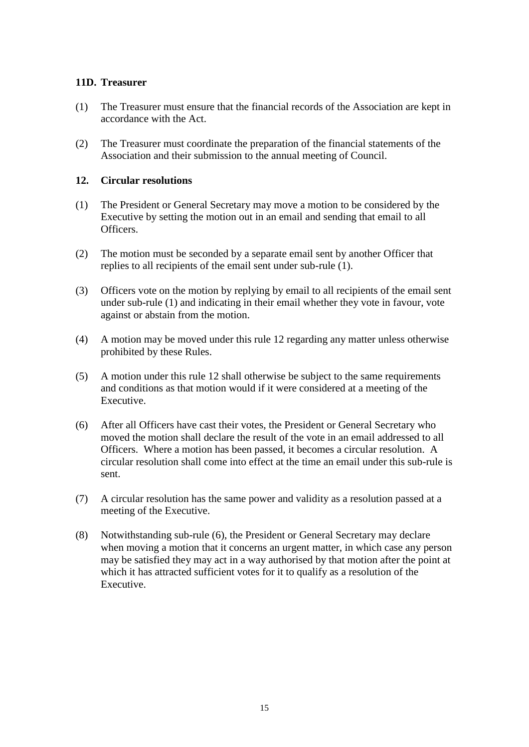## **11D. Treasurer**

- (1) The Treasurer must ensure that the financial records of the Association are kept in accordance with the Act.
- (2) The Treasurer must coordinate the preparation of the financial statements of the Association and their submission to the annual meeting of Council.

## **12. Circular resolutions**

- (1) The President or General Secretary may move a motion to be considered by the Executive by setting the motion out in an email and sending that email to all Officers.
- (2) The motion must be seconded by a separate email sent by another Officer that replies to all recipients of the email sent under sub-rule (1).
- (3) Officers vote on the motion by replying by email to all recipients of the email sent under sub-rule (1) and indicating in their email whether they vote in favour, vote against or abstain from the motion.
- (4) A motion may be moved under this rule 12 regarding any matter unless otherwise prohibited by these Rules.
- (5) A motion under this rule 12 shall otherwise be subject to the same requirements and conditions as that motion would if it were considered at a meeting of the Executive.
- (6) After all Officers have cast their votes, the President or General Secretary who moved the motion shall declare the result of the vote in an email addressed to all Officers. Where a motion has been passed, it becomes a circular resolution. A circular resolution shall come into effect at the time an email under this sub-rule is sent.
- (7) A circular resolution has the same power and validity as a resolution passed at a meeting of the Executive.
- (8) Notwithstanding sub-rule (6), the President or General Secretary may declare when moving a motion that it concerns an urgent matter, in which case any person may be satisfied they may act in a way authorised by that motion after the point at which it has attracted sufficient votes for it to qualify as a resolution of the Executive.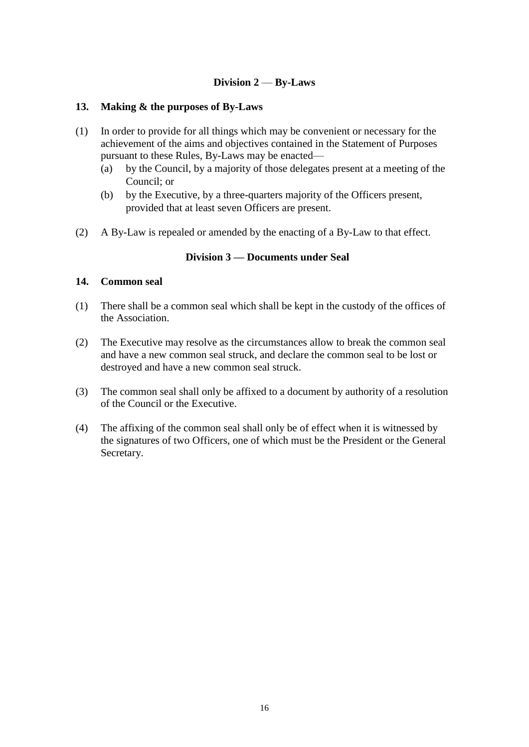## **Division 2** — **By-Laws**

#### **13. Making & the purposes of By-Laws**

- (1) In order to provide for all things which may be convenient or necessary for the achievement of the aims and objectives contained in the Statement of Purposes pursuant to these Rules, By-Laws may be enacted—
	- (a) by the Council, by a majority of those delegates present at a meeting of the Council; or
	- (b) by the Executive, by a three-quarters majority of the Officers present, provided that at least seven Officers are present.
- (2) A By-Law is repealed or amended by the enacting of a By-Law to that effect.

#### **Division 3 — Documents under Seal**

#### **14. Common seal**

- (1) There shall be a common seal which shall be kept in the custody of the offices of the Association.
- (2) The Executive may resolve as the circumstances allow to break the common seal and have a new common seal struck, and declare the common seal to be lost or destroyed and have a new common seal struck.
- (3) The common seal shall only be affixed to a document by authority of a resolution of the Council or the Executive.
- (4) The affixing of the common seal shall only be of effect when it is witnessed by the signatures of two Officers, one of which must be the President or the General Secretary.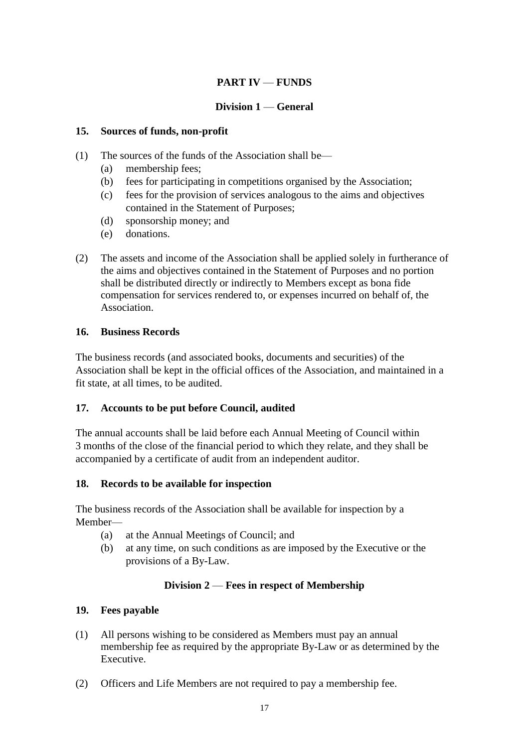# **PART IV** — **FUNDS**

# **Division 1** — **General**

## **15. Sources of funds, non-profit**

- (1) The sources of the funds of the Association shall be—
	- (a) membership fees;
	- (b) fees for participating in competitions organised by the Association;
	- (c) fees for the provision of services analogous to the aims and objectives contained in the Statement of Purposes;
	- (d) sponsorship money; and
	- (e) donations.
- (2) The assets and income of the Association shall be applied solely in furtherance of the aims and objectives contained in the Statement of Purposes and no portion shall be distributed directly or indirectly to Members except as bona fide compensation for services rendered to, or expenses incurred on behalf of, the Association.

## **16. Business Records**

The business records (and associated books, documents and securities) of the Association shall be kept in the official offices of the Association, and maintained in a fit state, at all times, to be audited.

## **17. Accounts to be put before Council, audited**

The annual accounts shall be laid before each Annual Meeting of Council within 3 months of the close of the financial period to which they relate, and they shall be accompanied by a certificate of audit from an independent auditor.

## **18. Records to be available for inspection**

The business records of the Association shall be available for inspection by a Member—

- (a) at the Annual Meetings of Council; and
- (b) at any time, on such conditions as are imposed by the Executive or the provisions of a By-Law.

# **Division 2** — **Fees in respect of Membership**

## **19. Fees payable**

- (1) All persons wishing to be considered as Members must pay an annual membership fee as required by the appropriate By-Law or as determined by the Executive.
- (2) Officers and Life Members are not required to pay a membership fee.